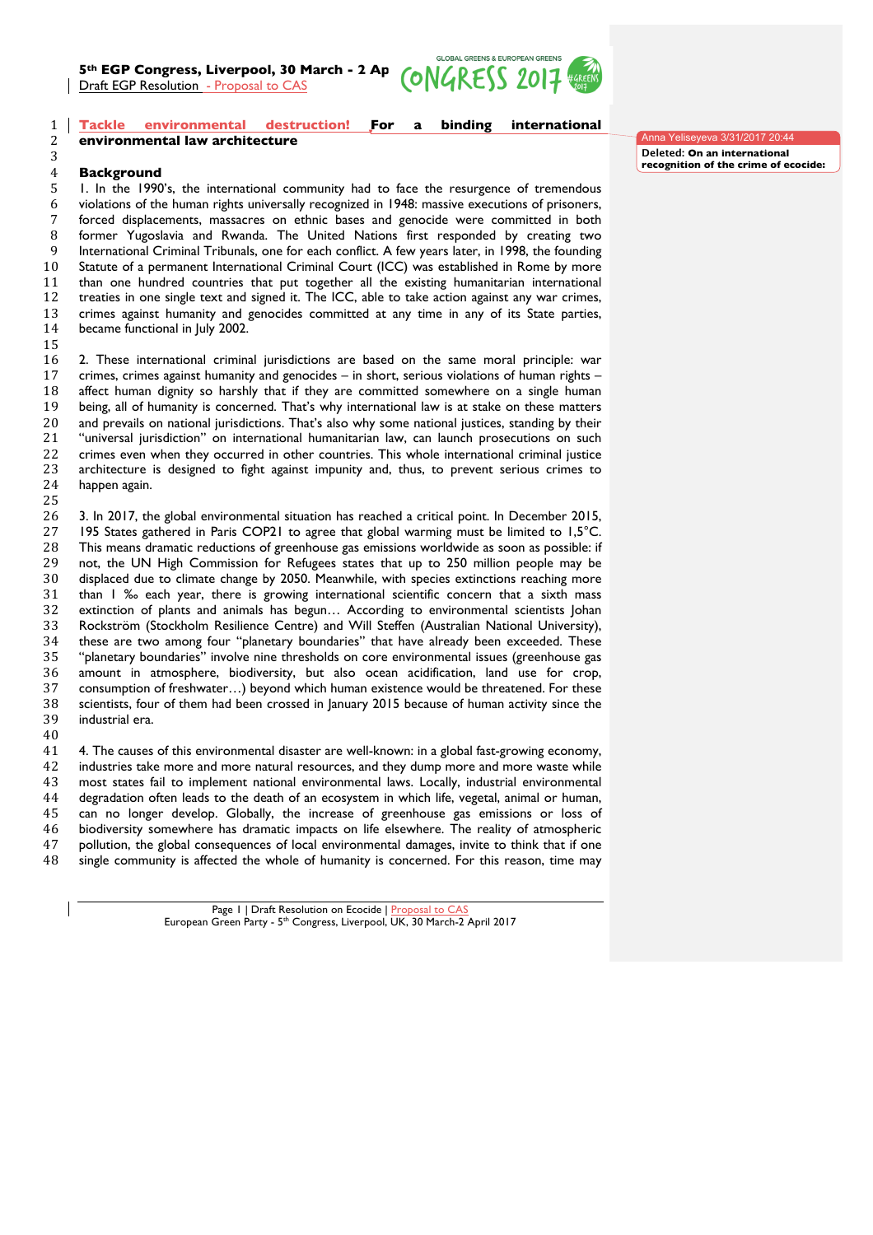**5th EGP Congress, Liverpool, 30 March - 2 April 2014 2014**<br>Draft EGP Resolution - Proposal to CAS Draft EGP Resolution - Proposal to CAS



## **Tackle environmental destruction! For a binding international environmental law architecture**

## **Background**

 1. In the 1990's, the international community had to face the resurgence of tremendous violations of the human rights universally recognized in 1948: massive executions of prisoners, forced displacements, massacres on ethnic bases and genocide were committed in both former Yugoslavia and Rwanda. The United Nations first responded by creating two International Criminal Tribunals, one for each conflict. A few years later, in 1998, the founding Statute of a permanent International Criminal Court (ICC) was established in Rome by more than one hundred countries that put together all the existing humanitarian international treaties in one single text and signed it. The ICC, able to take action against any war crimes, crimes against humanity and genocides committed at any time in any of its State parties, became functional in July 2002.

 2. These international criminal jurisdictions are based on the same moral principle: war crimes, crimes against humanity and genocides – in short, serious violations of human rights – affect human dignity so harshly that if they are committed somewhere on a single human being, all of humanity is concerned. That's why international law is at stake on these matters and prevails on national jurisdictions. That's also why some national justices, standing by their "universal jurisdiction" on international humanitarian law, can launch prosecutions on such crimes even when they occurred in other countries. This whole international criminal justice architecture is designed to fight against impunity and, thus, to prevent serious crimes to happen again.

 3. In 2017, the global environmental situation has reached a critical point. In December 2015, 195 States gathered in Paris COP21 to agree that global warming must be limited to 1,5°C. This means dramatic reductions of greenhouse gas emissions worldwide as soon as possible: if not, the UN High Commission for Refugees states that up to 250 million people may be displaced due to climate change by 2050. Meanwhile, with species extinctions reaching more than 1 ‰ each year, there is growing international scientific concern that a sixth mass extinction of plants and animals has begun… According to environmental scientists Johan Rockström (Stockholm Resilience Centre) and Will Steffen (Australian National University), these are two among four "planetary boundaries" that have already been exceeded. These "planetary boundaries" involve nine thresholds on core environmental issues (greenhouse gas amount in atmosphere, biodiversity, but also ocean acidification, land use for crop, consumption of freshwater…) beyond which human existence would be threatened. For these scientists, four of them had been crossed in January 2015 because of human activity since the industrial era.

 4. The causes of this environmental disaster are well-known: in a global fast-growing economy, industries take more and more natural resources, and they dump more and more waste while most states fail to implement national environmental laws. Locally, industrial environmental degradation often leads to the death of an ecosystem in which life, vegetal, animal or human, can no longer develop. Globally, the increase of greenhouse gas emissions or loss of biodiversity somewhere has dramatic impacts on life elsewhere. The reality of atmospheric pollution, the global consequences of local environmental damages, invite to think that if one single community is affected the whole of humanity is concerned. For this reason, time may

> Page 1 | Draft Resolution on Ecocide | Proposal to CA European Green Party - 5<sup>th</sup> Congress, Liverpool, UK, 30 March-2 April 2017

Anna Yeliseyeva 3/31/2017 20:44 **Deleted: On an international recognition of the crime of ecocide:**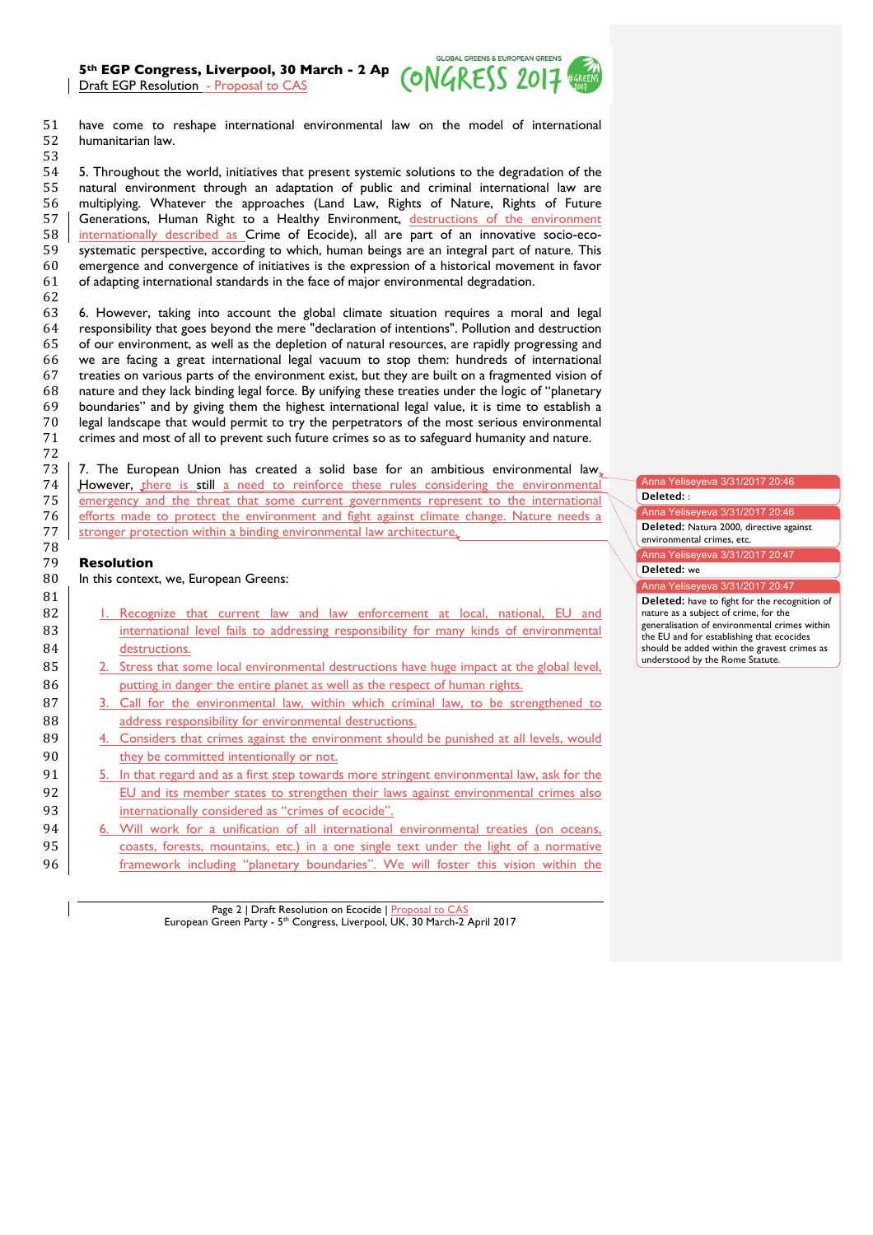**5th EGP Congress, Liverpool, 30 March - 2 Ap**  $\overline{ONGRESS}$  **2017** Draft EGP Resolution - Proposal to CAS



51 have come to reshape international environmental law on the model of international 52 humanitarian law. 53

 5. Throughout the world, initiatives that present systemic solutions to the degradation of the natural environment through an adaptation of public and criminal international law are multiplying. Whatever the approaches (Land Law, Rights of Nature, Rights of Future Generations, Human Right to a Healthy Environment, destructions of the environment internationally described as Crime of Ecocide), all are part of an innovative socio-eco- systematic perspective, according to which, human beings are an integral part of nature. This emergence and convergence of initiatives is the expression of a historical movement in favor of adapting international standards in the face of major environmental degradation. 62

 6. However, taking into account the global climate situation requires a moral and legal responsibility that goes beyond the mere "declaration of intentions". Pollution and destruction of our environment, as well as the depletion of natural resources, are rapidly progressing and we are facing a great international legal vacuum to stop them: hundreds of international treaties on various parts of the environment exist, but they are built on a fragmented vision of nature and they lack binding legal force. By unifying these treaties under the logic of "planetary 69 boundaries" and by giving them the highest international legal value, it is time to establish a<br>70 legal landscape that would permit to try the perpetrators of the most serious environmental legal landscape that would permit to try the perpetrators of the most serious environmental crimes and most of all to prevent such future crimes so as to safeguard humanity and nature. 72

73 7. The European Union has created a solid base for an ambitious environmental law. 74 However, there is still a need to reinforce these rules considering the environmental emergency and the threat that some current governments represent to the international emergency and the threat that some current governments represent to the international 76 efforts made to protect the environment and fight against climate change. Nature needs a 77 stronger protection within a binding environmental law architecture.

## 79 **Resolution**

78

81

80 In this context, we, European Greens:

- 82 | 1. Recognize that current law and law enforcement at local, national, EU and 83 international level fails to addressing responsibility for many kinds of environmental 84 destructions.
- 85 2. Stress that some local environmental destructions have huge impact at the global level, 86 putting in danger the entire planet as well as the respect of human rights.
- 87 3. Call for the environmental law, within which criminal law, to be strengthened to 88 **address responsibility for environmental destructions.**
- 89 4. Considers that crimes against the environment should be punished at all levels, would 90 **they be committed intentionally or not.**
- 91 5. In that regard and as a first step towards more stringent environmental law, ask for the 92 EU and its member states to strengthen their laws against environmental crimes also 93 internationally considered as "crimes of ecocide".
- 94 6. Will work for a unification of all international environmental treaties (on oceans, 95 coasts, forests, mountains, etc.) in a one single text under the light of a normative 96 framework including "planetary boundaries". We will foster this vision within the

Page 2 | Draft Resolution on Ecocide | Proposal to CAS European Green Party - 5<sup>th</sup> Congress, Liverpool, UK, 30 March-2 April 2017 Anna Yeliseyeva 3/31/2017 20:46

## 97 **Deleted:** :

Anna Yeliseyeva 3/31/2017 20:46 Deleted: Natura 2000, directive against

environmental crimes, etc. Anna Yeliseyeva 3/31/2017 20:47

Deleted: we

Anna Yeliseyeva 3/31/2017 20:47

Deleted: have to fight for the recognition of nature as a subject of crime, for the generalisation of environmental crimes within the EU and for establishing that ecocides should be added within the gravest crimes as understood by the Rome Statute.